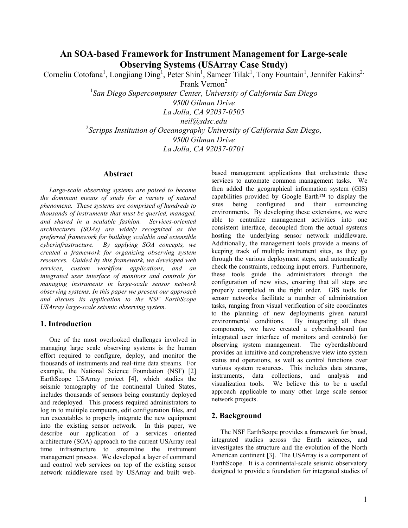# **An SOA-based Framework for Instrument Management for Large-scale Observing Systems (USArray Case Study)**

Corneliu Cotofana<sup>1</sup>, Longjiang Ding<sup>1</sup>, Peter Shin<sup>1</sup>, Sameer Tilak<sup>1</sup>, Tony Fountain<sup>1</sup>, Jennifer Eakins<sup>2,</sup> Frank Vernon<sup>2</sup>

<sup>1</sup> Frank Vernon<sup>2</sup><br><sup>1</sup> San Diego Supercomputer Center, University of California San Diego

*9500 Gilman Drive* 

*La Jolla, CA 92037-0505* 

*neil@sdsc.edu* 2 *Scripps Institution of Oceanography University of California San Diego, 9500 Gilman Drive La Jolla, CA 92037-0701* 

#### **Abstract**

*Large-scale observing systems are poised to become the dominant means of study for a variety of natural phenomena. These systems are comprised of hundreds to thousands of instruments that must be queried, managed, and shared in a scalable fashion. Services-oriented architectures (SOAs) are widely recognized as the preferred framework for building scalable and extensible cyberinfrastructure. By applying SOA concepts, we created a framework for organizing observing system resources. Guided by this framework, we developed web services, custom workflow applications, and an integrated user interface of monitors and controls for managing instruments in large-scale sensor network observing systems. In this paper we present our approach and discuss its application to the NSF EarthScope USArray large-scale seismic observing system.* 

# **1. Introduction**

One of the most overlooked challenges involved in managing large scale observing systems is the human effort required to configure, deploy, and monitor the thousands of instruments and real-time data streams. For example, the National Science Foundation (NSF) [2] EarthScope USArray project [4], which studies the seismic tomography of the continental United States, includes thousands of sensors being constantly deployed and redeployed. This process required administrators to log in to multiple computers, edit configuration files, and run executables to properly integrate the new equipment into the existing sensor network. In this paper, we describe our application of a services oriented architecture (SOA) approach to the current USArray real time infrastructure to streamline the instrument management process. We developed a layer of command and control web services on top of the existing sensor network middleware used by USArray and built webbased management applications that orchestrate these services to automate common management tasks. We then added the geographical information system (GIS) capabilities provided by Google Earth™ to display the sites being configured and their surrounding environments. By developing these extensions, we were able to centralize management activities into one consistent interface, decoupled from the actual systems hosting the underlying sensor network middleware. Additionally, the management tools provide a means of keeping track of multiple instrument sites, as they go through the various deployment steps, and automatically check the constraints, reducing input errors. Furthermore, these tools guide the administrators through the configuration of new sites, ensuring that all steps are properly completed in the right order. GIS tools for sensor networks facilitate a number of administration tasks, ranging from visual verification of site coordinates to the planning of new deployments given natural environmental conditions. By integrating all these components, we have created a cyberdashboard (an integrated user interface of monitors and controls) for observing system management. The cyberdashboard provides an intuitive and comprehensive view into system status and operations, as well as control functions over various system resources. This includes data streams, instruments, data collections, and analysis and visualization tools. We believe this to be a useful approach applicable to many other large scale sensor network projects.

# **2. Background**

The NSF EarthScope provides a framework for broad, integrated studies across the Earth sciences, and investigates the structure and the evolution of the North American continent [3]. The USArray is a component of EarthScope. It is a continental-scale seismic observatory designed to provide a foundation for integrated studies of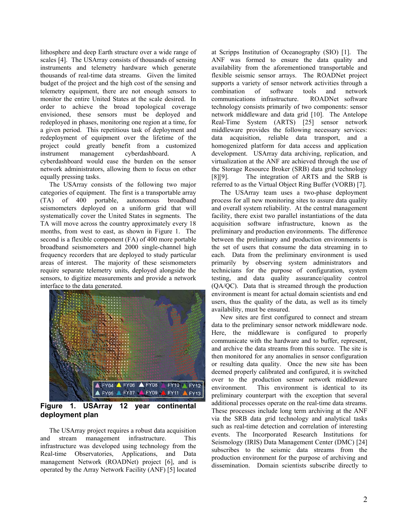lithosphere and deep Earth structure over a wide range of scales [4]. The USArray consists of thousands of sensing instruments and telemetry hardware which generate thousands of real-time data streams. Given the limited budget of the project and the high cost of the sensing and telemetry equipment, there are not enough sensors to monitor the entire United States at the scale desired. In order to achieve the broad topological coverage envisioned, these sensors must be deployed and redeployed in phases, monitoring one region at a time, for a given period. This repetitious task of deployment and redeployment of equipment over the lifetime of the project could greatly benefit from a customized instrument management cyberdashboard. A cyberdashboard would ease the burden on the sensor network administrators, allowing them to focus on other equally pressing tasks.

The USArray consists of the following two major categories of equipment. The first is a transportable array (TA) of 400 portable, autonomous broadband seismometers deployed on a uniform grid that will systematically cover the United States in segments. The TA will move across the country approximately every 18 months, from west to east, as shown in Figure 1. The second is a flexible component (FA) of 400 more portable broadband seismometers and 2000 single-channel high frequency recorders that are deployed to study particular areas of interest. The majority of these seismometers require separate telemetry units, deployed alongside the sensors, to digitize measurements and provide a network interface to the data generated.



**Figure 1. USArray 12 year continental deployment plan** 

The USArray project requires a robust data acquisition and stream management infrastructure. This infrastructure was developed using technology from the Real-time Observatories, Applications, and Data management Network (ROADNet) project [6], and is operated by the Array Network Facility (ANF) [5] located at Scripps Institution of Oceanography (SIO) [1]. The ANF was formed to ensure the data quality and availability from the aforementioned transportable and flexible seismic sensor arrays. The ROADNet project supports a variety of sensor network activities through a combination of software tools and network communications infrastructure. ROADNet software technology consists primarily of two components: sensor network middleware and data grid [10]. The Antelope Real-Time System (ARTS) [25] sensor network middleware provides the following necessary services: data acquisition, reliable data transport, and a homogenized platform for data access and application development. USArray data archiving, replication, and virtualization at the ANF are achieved through the use of the Storage Resource Broker (SRB) data grid technology [8][9]. The integration of ARTS and the SRB is referred to as the Virtual Object Ring Buffer (VORB) [7].

The USArray team uses a two-phase deployment process for all new monitoring sites to assure data quality and overall system reliability. At the central management facility, there exist two parallel instantiations of the data acquisition software infrastructure, known as the preliminary and production environments. The difference between the preliminary and production environments is the set of users that consume the data streaming in to each. Data from the preliminary environment is used primarily by observing system administrators and technicians for the purpose of configuration, system testing, and data quality assurance/quality control (QA/QC). Data that is streamed through the production environment is meant for actual domain scientists and end users, thus the quality of the data, as well as its timely availability, must be ensured.

New sites are first configured to connect and stream data to the preliminary sensor network middleware node. Here, the middleware is configured to properly communicate with the hardware and to buffer, represent, and archive the data streams from this source. The site is then monitored for any anomalies in sensor configuration or resulting data quality. Once the new site has been deemed properly calibrated and configured, it is switched over to the production sensor network middleware environment. This environment is identical to its preliminary counterpart with the exception that several additional processes operate on the real-time data streams. These processes include long term archiving at the ANF via the SRB data grid technology and analytical tasks such as real-time detection and correlation of interesting events. The Incorporated Research Institutions for Seismology (IRIS) Data Management Center (DMC) [24] subscribes to the seismic data streams from the production environment for the purpose of archiving and dissemination. Domain scientists subscribe directly to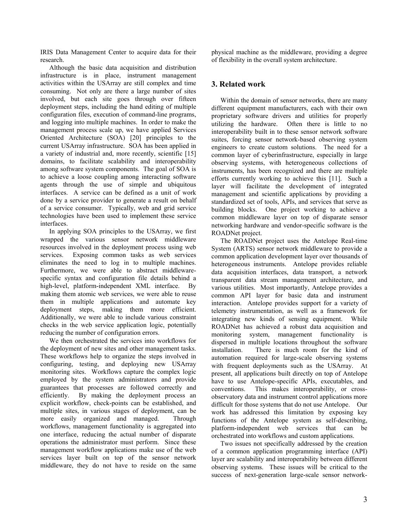IRIS Data Management Center to acquire data for their research.

Although the basic data acquisition and distribution infrastructure is in place, instrument management activities within the USArray are still complex and time consuming. Not only are there a large number of sites involved, but each site goes through over fifteen deployment steps, including the hand editing of multiple configuration files, execution of command-line programs, and logging into multiple machines. In order to make the management process scale up, we have applied Services Oriented Architecture (SOA) [20] principles to the current USArray infrastructure. SOA has been applied in a variety of industrial and, more recently, scientific [15] domains, to facilitate scalability and interoperability among software system components. The goal of SOA is to achieve a loose coupling among interacting software agents through the use of simple and ubiquitous interfaces. A service can be defined as a unit of work done by a service provider to generate a result on behalf of a service consumer. Typically, web and grid service technologies have been used to implement these service interfaces.

In applying SOA principles to the USArray, we first wrapped the various sensor network middleware resources involved in the deployment process using web services. Exposing common tasks as web services eliminates the need to log in to multiple machines. Furthermore, we were able to abstract middlewarespecific syntax and configuration file details behind a high-level, platform-independent XML interface. By making them atomic web services, we were able to reuse them in multiple applications and automate key deployment steps, making them more efficient. Additionally, we were able to include various constraint checks in the web service application logic, potentially reducing the number of configuration errors.

We then orchestrated the services into workflows for the deployment of new sites and other management tasks. These workflows help to organize the steps involved in configuring, testing, and deploying new USArray monitoring sites. Workflows capture the complex logic employed by the system administrators and provide guarantees that processes are followed correctly and efficiently. By making the deployment process an explicit workflow, check-points can be established, and multiple sites, in various stages of deployment, can be more easily organized and managed. Through workflows, management functionality is aggregated into one interface, reducing the actual number of disparate operations the administrator must perform. Since these management workflow applications make use of the web services layer built on top of the sensor network middleware, they do not have to reside on the same

physical machine as the middleware, providing a degree of flexibility in the overall system architecture.

# **3. Related work**

Within the domain of sensor networks, there are many different equipment manufacturers, each with their own proprietary software drivers and utilities for properly utilizing the hardware. Often there is little to no interoperability built in to these sensor network software suites, forcing sensor network-based observing system engineers to create custom solutions. The need for a common layer of cyberinfrastructure, especially in large observing systems, with heterogeneous collections of instruments, has been recognized and there are multiple efforts currently working to achieve this [11]. Such a layer will facilitate the development of integrated management and scientific applications by providing a standardized set of tools, APIs, and services that serve as building blocks. One project working to achieve a common middleware layer on top of disparate sensor networking hardware and vendor-specific software is the ROADNet project.

The ROADNet project uses the Antelope Real-time System (ARTS) sensor network middleware to provide a common application development layer over thousands of heterogeneous instruments. Antelope provides reliable data acquisition interfaces, data transport, a network transparent data stream management architecture, and various utilities. Most importantly, Antelope provides a common API layer for basic data and instrument interaction. Antelope provides support for a variety of telemetry instrumentation, as well as a framework for integrating new kinds of sensing equipment. While ROADNet has achieved a robust data acquisition and monitoring system, management functionality is dispersed in multiple locations throughout the software installation. There is much room for the kind of automation required for large-scale observing systems with frequent deployments such as the USArray. At present, all applications built directly on top of Antelope have to use Antelope-specific APIs, executables, and conventions. This makes interoperability, or crossobservatory data and instrument control applications more difficult for those systems that do not use Antelope. Our work has addressed this limitation by exposing key functions of the Antelope system as self-describing, platform-independent web services that can be orchestrated into workflows and custom applications.

Two issues not specifically addressed by the creation of a common application programming interface (API) layer are scalability and interoperability between different observing systems. These issues will be critical to the success of next-generation large-scale sensor network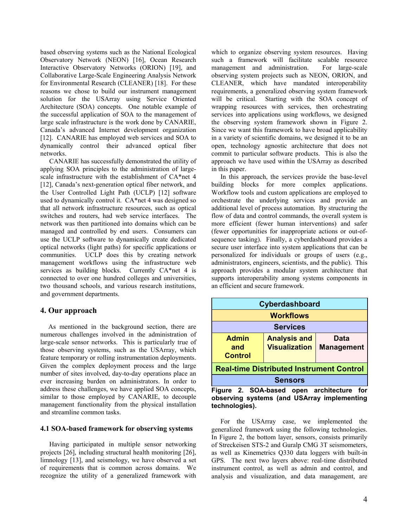based observing systems such as the National Ecological Observatory Network (NEON) [16], Ocean Research Interactive Observatory Networks (ORION) [19], and Collaborative Large-Scale Engineering Analysis Network for Environmental Research (CLEANER) [18]. For these reasons we chose to build our instrument management solution for the USArray using Service Oriented Architecture (SOA) concepts. One notable example of the successful application of SOA to the management of large scale infrastructure is the work done by CANARIE, Canada's advanced Internet development organization [12]. CANARIE has employed web services and SOA to dynamically control their advanced optical fiber networks.

CANARIE has successfully demonstrated the utility of applying SOA principles to the administration of largescale infrastructure with the establishment of CA\*net 4 [12], Canada's next-generation optical fiber network, and the User Controlled Light Path (UCLP) [12] software used to dynamically control it. CA\*net 4 was designed so that all network infrastructure resources, such as optical switches and routers, had web service interfaces. The network was then partitioned into domains which can be managed and controlled by end users. Consumers can use the UCLP software to dynamically create dedicated optical networks (light paths) for specific applications or communities. UCLP does this by creating network management workflows using the infrastructure web services as building blocks. Currently CA\*net 4 is connected to over one hundred colleges and universities, two thousand schools, and various research institutions, and government departments.

#### **4. Our approach**

As mentioned in the background section, there are numerous challenges involved in the administration of large-scale sensor networks. This is particularly true of those observing systems, such as the USArray, which feature temporary or rolling instrumentation deployments. Given the complex deployment process and the large number of sites involved, day-to-day operations place an ever increasing burden on administrators. In order to address these challenges, we have applied SOA concepts, similar to those employed by CANARIE, to decouple management functionality from the physical installation and streamline common tasks.

#### **4.1 SOA-based framework for observing systems**

Having participated in multiple sensor networking projects [26], including structural health monitoring [26], limnology [13], and seismology, we have observed a set of requirements that is common across domains. We recognize the utility of a generalized framework with which to organize observing system resources. Having such a framework will facilitate scalable resource management and administration. For large-scale observing system projects such as NEON, ORION, and CLEANER, which have mandated interoperability requirements, a generalized observing system framework will be critical. Starting with the SOA concept of wrapping resources with services, then orchestrating services into applications using workflows, we designed the observing system framework shown in Figure 2. Since we want this framework to have broad applicability in a variety of scientific domains, we designed it to be an open, technology agnostic architecture that does not commit to particular software products. This is also the approach we have used within the USArray as described in this paper.

In this approach, the services provide the base-level building blocks for more complex applications. Workflow tools and custom applications are employed to orchestrate the underlying services and provide an additional level of process automation. By structuring the flow of data and control commands, the overall system is more efficient (fewer human interventions) and safer (fewer opportunities for inappropriate actions or out-ofsequence tasking). Finally, a cyberdashboard provides a secure user interface into system applications that can be personalized for individuals or groups of users (e.g., administrators, engineers, scientists, and the public). This approach provides a modular system architecture that supports interoperability among systems components in an efficient and secure framework.

| Cyberdashboard                                  |                                             |                                  |  |  |
|-------------------------------------------------|---------------------------------------------|----------------------------------|--|--|
| <b>Workflows</b>                                |                                             |                                  |  |  |
| <b>Services</b>                                 |                                             |                                  |  |  |
| <b>Admin</b><br>and<br><b>Control</b>           | <b>Analysis and</b><br><b>Visualization</b> | <b>Data</b><br><b>Management</b> |  |  |
| <b>Real-time Distributed Instrument Control</b> |                                             |                                  |  |  |
| <b>Sensors</b>                                  |                                             |                                  |  |  |
| Fiauro                                          | <b>COA</b> _haeod<br>onon                   | architocturo<br>f∩r              |  |  |

#### **Figure 2. SOA-based open architecture for observing systems (and USArray implementing technologies).**

For the USArray case, we implemented the generalized framework using the following technologies. In Figure 2, the bottom layer, sensors, consists primarily of Streckeisen STS-2 and Guralp CMG 3T seismometers, as well as Kinemetrics Q330 data loggers with built-in GPS. The next two layers above: real-time distributed instrument control, as well as admin and control, and analysis and visualization, and data management, are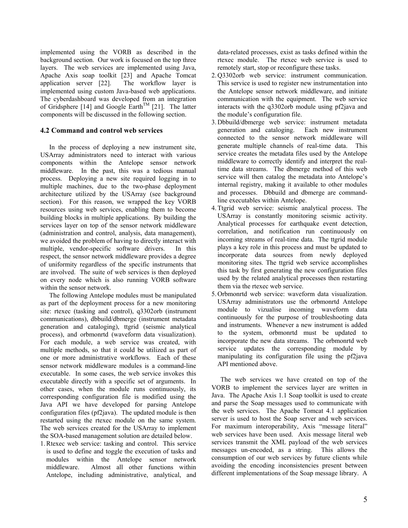implemented using the VORB as described in the background section. Our work is focused on the top three layers. The web services are implemented using Java, Apache Axis soap toolkit [23] and Apache Tomcat application server [22]. The workflow layer is implemented using custom Java-based web applications. The cyberdashboard was developed from an integration of Gridsphere [14] and Google Earth<sup>TM</sup> [21]. The latter components will be discussed in the following section.

### **4.2 Command and control web services**

In the process of deploying a new instrument site, US Array administrators need to interact with various components within the Antelope sensor network middleware. In the past, this was a tedious manual process. Deploying a new site required logging in to multiple machines, due to the two-phase deployment architecture utilized by the USArray (see background section). For this reason, we wrapped the key VORB resources using web services, enabling them to become building blocks in multiple applications. By building the services layer on top of the sensor network middleware (administration and control, analysis, data management), we avoided the problem of having to directly interact with multiple, vendor-specific software drivers. In this respect, the sensor network middleware provides a degree of uniformity regardless of the specific instruments that are involved. The suite of web services is then deployed on every node which is also running VORB software within the sensor network.

The following Antelope modules must be manipulated as part of the deployment process for a new monitoring site: rtexec (tasking and control), q3302orb (instrument communications), dbbuild/dbmerge (instrument metadata generation and cataloging), ttgrid (seismic analytical process), and orbmonrtd (waveform data visualization). For each module, a web service was created, with multiple methods, so that it could be utilized as part of one or more administrative workflows. Each of these sensor network middleware modules is a command-line executable. In some cases, the web service invokes this executable directly with a specific set of arguments. In other cases, when the module runs continuously, its corresponding configuration file is modified using the Java API we have developed for parsing Antelope configuration files (pf2java). The updated module is then restarted using the rtexec module on the same system. The web services created for the USArray to implement the SOA-based management solution are detailed below.

1.Rtexec web service: tasking and control. This service is used to define and toggle the execution of tasks and modules within the Antelope sensor network middleware. Almost all other functions within Antelope, including administrative, analytical, and data-related processes, exist as tasks defined within the rtexec module. The rtexec web service is used to remotely start, stop or reconfigure these tasks.

- 2. Q3302orb web service: instrument communication. This service is used to register new instrumentation into the Antelope sensor network middleware, and initiate communication with the equipment. The web service interacts with the q3302orb module using pf2java and the module's configuration file.
- 3. Dbbuild/dbmerge web service: instrument metadata generation and cataloging. Each new instrument connected to the sensor network middleware will generate multiple channels of real-time data. This service creates the metadata files used by the Antelope middleware to correctly identify and interpret the realtime data streams. The dbmerge method of this web service will then catalog the metadata into Antelope's internal registry, making it available to other modules and processes. Dbbuild and dbmerge are commandline executables within Antelope.
- 4. Ttgrid web service: seismic analytical process. The USArray is constantly monitoring seismic activity. Analytical processes for earthquake event detection, correlation, and notification run continuously on incoming streams of real-time data. The ttgrid module plays a key role in this process and must be updated to incorporate data sources from newly deployed monitoring sites. The ttgrid web service accomplishes this task by first generating the new configuration files used by the related analytical processes then restarting them via the rtexec web service.
- 5. Orbmonrtd web service: waveform data visualization. USArray administrators use the orbmonrtd Antelope module to vizualise incoming waveform data continuously for the purpose of troubleshooting data and instruments. Whenever a new instrument is added to the system, orbmonrtd must be updated to incorporate the new data streams. The orbmonrtd web service updates the corresponding module by manipulating its configuration file using the pf2java API mentioned above.

The web services we have created on top of the VO RB to implement the services layer are written in Java. The Apache Axis 1.1 Soap toolkit is used to create and parse the Soap messages used to communicate with the web services. The Apache Tomcat 4.1 application server is used to host the Soap server and web services. For maximum interoperability, Axis "message literal" web services have been used. Axis message literal web services transmit the XML payload of the web services messages un-encoded, as a string. This allows the consumption of our web services by future clients while avoiding the encoding inconsistencies present between different implementations of the Soap message library. A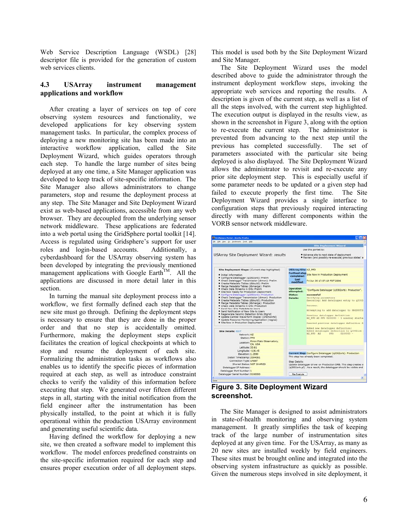Web Service Description Language (WSDL) [28] descriptor file is provided for the generation of custom web services clients.

### **4.3 USArray instrument management applications and workflow**

After creating a layer of services on top of core ob serving system resources and functionality, we developed applications for key observing system management tasks. In particular, the complex process of deploying a new monitoring site has been made into an interactive workflow application, called the Site Deployment Wizard, which guides operators through each step. To handle the large number of sites being deployed at any one time, a Site Manager application was developed to keep track of site-specific information. The Site Manager also allows administrators to change parameters, stop and resume the deployment process at any step. The Site Manager and Site Deployment Wizard exist as web-based applications, accessible from any web browser. They are decoupled from the underlying sensor network middleware. These applications are federated into a web portal using the GridSphere portal toolkit [14]. Access is regulated using Gridsphere's support for user roles and login-based accounts. Additionally, a cyberdashboard for the USArray observing system has been developed by integrating the previously mentioned management applications with Google Earth<sup>TM</sup>. All the applications are discussed in more detail later in this section.

In turning the manual site deployment process into a wo rkflow, we first formally defined each step that the new site must go through. Defining the deployment steps is necessary to ensure that they are done in the proper order and that no step is accidentally omitted. Furthermore, making the deployment steps explicit facilitates the creation of logical checkpoints at which to stop and resume the deployment of each site. Formalizing the administration tasks as workflows also enables us to identify the specific pieces of information required at each step, as well as introduce constraint checks to verify the validity of this information before executing that step. We generated over fifteen different steps in all, starting with the initial notification from the field engineer after the instrumentation has been physically installed, to the point at which it is fully operational within the production USArray environment and generating useful scientific data.

Having defined the workflow for deploying a new site , we then created a software model to implement this workflow. The model enforces predefined constraints on the site-specific information required for each step and ensures proper execution order of all deployment steps.

This model is used both by the Site Deployment Wizard and Site Manager.

The Site Deployment Wizard uses the model described above to guide the administrator through the instrument deployment workflow steps, invoking the appropriate web services and reporting the results. A description is given of the current step, as well as a list of all the steps involved, with the current step highlighted. The execution output is displayed in the results view, as shown in the screenshot in Figure 3, along with the option to re-execute the current step. The administrator is prevented from advancing to the next step until the previous has completed successfully. The set of parameters associated with the particular site being deployed is also displayed. The Site Deployment Wizard allows the administrator to revisit and re-execute any prior site deployment step. This is especially useful if some parameter needs to be updated or a given step had failed to execute properly the first time. The Site Deployment Wizard provides a single interface to configuration steps that previously required interacting directly with many different components within the VORB sensor network middleware.



**Figure 3. Site Deployment Wizard screenshot.** 

The Site Manager is designed to assist administrators in state-of-health monitoring and observing system management. It greatly simplifies the task of keeping track of the large number of instrumentation sites deployed at any given time. For the USArray, as many as 20 new sites are installed weekly by field engineers. These sites must be brought online and integrated into the observing system infrastructure as quickly as possible. Given the numerous steps involved in site deployment, it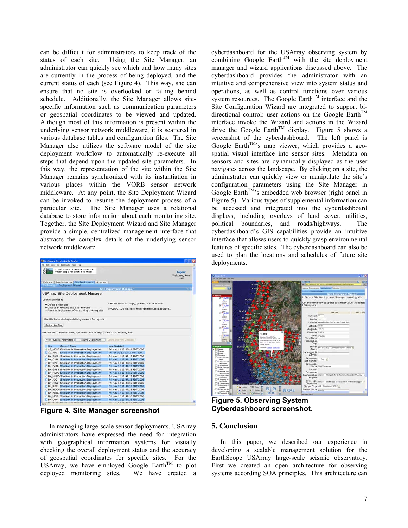can be difficult for administrators to keep track of the status of each site. Using the Site Manager, an administrator can quickly see which and how many sites are currently in the process of being deployed, and the current status of each (see Figure 4). This way, she can ensure that no site is overlooked or falling behind schedule. Additionally, the Site Manager allows sitespecific information such as communication parameters or geospatial coordinates to be viewed and updated. Although most of this information is present within the underlying sensor network middleware, it is scattered in various database tables and configuration files. The Site Manager also utilizes the software model of the site deployment workflow to automatically re-execute all steps that depend upon the updated site parameters. In this way, the representation of the site within the Site Manager remains synchronized with its instantiation in various places within the VORB sensor network middleware. At any point, the Site Deployment Wizard can be invoked to resume the deployment process of a particular site. The Site Manager uses a relational database to store information about each monitoring site. Together, the Site Deployment Wizard and Site Manager provide a simple, centralized management interface that abstracts the complex details of the underlying sensor network middleware.

| Edit Vew Go Bookmarks Tools Help                                                                                                                                       |                                                  | <b>A</b> in                     |
|------------------------------------------------------------------------------------------------------------------------------------------------------------------------|--------------------------------------------------|---------------------------------|
|                                                                                                                                                                        |                                                  |                                 |
| <b>USArray Instrument</b><br>Management Portal                                                                                                                         |                                                  | Logout<br>Welcome, Root<br>User |
|                                                                                                                                                                        |                                                  |                                 |
| Welcome   Administration   Site Deployment   Advanced                                                                                                                  |                                                  |                                 |
| <b>CIENTIFICA: Deployment Wizard</b>                                                                                                                                   | <b>Site Deployment Manager</b>                   | $\Box$                          |
|                                                                                                                                                                        |                                                  |                                 |
| <b>USArray Site Deployment Manager</b>                                                                                                                                 |                                                  |                                 |
|                                                                                                                                                                        |                                                  |                                 |
| Use this portlet to                                                                                                                                                    |                                                  |                                 |
| · Define a new site                                                                                                                                                    | PRELIM WS host: http://phalanx.sdsc.edu:8082     |                                 |
| · Update an existing site's parameters<br>· Resume deployment of an existing USArray site                                                                              | PRODUCTION WS host: http://phalanx.sdsc.edu:8081 |                                 |
|                                                                                                                                                                        |                                                  |                                 |
| Use this button to begin defining a new USArray site.                                                                                                                  |                                                  |                                 |
|                                                                                                                                                                        |                                                  |                                 |
| Define New Site                                                                                                                                                        |                                                  |                                 |
|                                                                                                                                                                        |                                                  |                                 |
|                                                                                                                                                                        |                                                  |                                 |
|                                                                                                                                                                        |                                                  |                                 |
| View / Update Parameters<br>Resume Deployment                                                                                                                          | Delate Site from Database.                       |                                 |
| <b>Current State</b><br>Site                                                                                                                                           | <b>Last Updated</b>                              |                                 |
| AZ MONP Site Now in Production Deployment                                                                                                                              | Fri May 12 12:47:14 PDT 2006                     |                                 |
| AZ PFO Site Now in Production Deployment                                                                                                                               | Fri Jun 30 17:57:19 PDT 2006                     |                                 |
| G BK BDM Site Now in Production Deployment                                                                                                                             | Fri May 12 12:47:15 PDT 2006                     |                                 |
|                                                                                                                                                                        | Fri May 12 12:47:15 PDT 2006                     |                                 |
| BK CVS Site Now in Production Deployment                                                                                                                               | Fri May 12 12:47:15 PDT 2006                     |                                 |
|                                                                                                                                                                        | Fri May 12 12:47:15 PDT 2006                     |                                 |
| BK CMB Site Now in Production Deployment<br>BK FARB Site Now in Production Deployment<br>BK GASB Site Now in Production Deployment                                     | Fri May 12 12:47:15 PDT 2006                     |                                 |
|                                                                                                                                                                        | Fri May 12 12:47:15 PDT 2006                     |                                 |
| BK HUMO Site Now in Production Deployment                                                                                                                              | Fri May 12 12:47:15 PDT 2006                     |                                 |
| BK_JCC Site Now in Production Deployment                                                                                                                               | Fri May 12 12:47:15 PDT 2006                     |                                 |
| Use the form below to view, update or resume deployment of an existing site.<br>BK HOPS Site Now in Production Deployment<br>BK JRSC Site Now in Production Deployment | Fri May 12 12:47:15 PDT 2006                     |                                 |
| BK KCC Site Now in Production Deployment                                                                                                                               | Fri May 12 12:47:15 PDT 2006                     |                                 |
| G BK MCCM Site Now in Production Deployment                                                                                                                            | Fri May 12 12:47:15 PDT 2006                     |                                 |
| E BK MNRC Site Now in Production Deployment                                                                                                                            | Fri May 12 12:47:15 PDT 2006                     |                                 |
| BK MOD Site Now in Production Deployment<br>BK_ORV Site Now in Production Deployment                                                                                   | Fri May 12 12:47:16 PDT 2006                     |                                 |

**Figure 4. Site Manager screenshot** 

In managing large-scale sensor deployments, USArray administrators have expressed the need for integration with geographical information systems for visually checking the overall deployment status and the accuracy of geospatial coordinates for specific sites. For the USArray, we have employed Google  $Earth<sup>TM</sup>$  to plot deployed monitoring sites. We have created a

cyberdashboard for the USArray observing system by combining Google Earth<sup>TM</sup> with the site deployment manager and wizard applications discussed above. The cyberdashboard provides the administrator with an intuitive and comprehensive view into system status and operations, as well as control functions over various system resources. The Google Earth<sup>TM</sup> interface and the Site Configuration Wizard are integrated to support bidirectional control: user actions on the Google Earth<sup>TM</sup> interface invoke the Wizard and actions in the Wizard drive the Google Earth<sup>TM</sup> display. Figure 5 shows a screenshot of the cyberdashboard. The left panel is Google Earth<sup>TM</sup>'s map viewer, which provides a geospatial visual interface into sensor sites. Metadata on sensors and sites are dynamically displayed as the user navigates across the landscape. By clicking on a site, the administrator can quickly view or manipulate the site's configuration parameters using the Site Manager in Google Earth<sup>TM's</sup> embedded web browser (right panel in Figure 5). Various types of supplemental information can be accessed and integrated into the cyberdashboard displays, including overlays of land cover, utilities, political boundaries, and roads/highways. The cyberdashboard's GIS capabilities provide an intuitive interface that allows users to quickly grasp environmental features of specific sites. The cyberdashboard can also be used to plan the locations and schedules of future site deployments.

|                                                                                                 |                                                                 | iшD                                                                           |  |  |
|-------------------------------------------------------------------------------------------------|-----------------------------------------------------------------|-------------------------------------------------------------------------------|--|--|
| <b>View AAL Tools was</b>                                                                       |                                                                 |                                                                               |  |  |
| <b>Parties &amp; Internet</b>                                                                   |                                                                 | <b>MOTOR</b>                                                                  |  |  |
| <b>TA. OE1A</b><br>$1 - 70011$                                                                  | w.<br><b>JA DOM</b>                                             |                                                                               |  |  |
| $-176$<br>TA_ED387<br><b>TA COMP TALCOM</b>                                                     | tworld Abroards: Ette Salement Liberal                          |                                                                               |  |  |
|                                                                                                 | <b><i><u>Accessive Million</u></i></b>                          |                                                                               |  |  |
| <b>TA FOSE</b><br><b>STATE</b>                                                                  | <b>ALL FIRE</b>                                                 | <b>Site Deployment Manager</b>                                                |  |  |
| <b>Secret</b><br><b>14, 602 (C)</b><br><b>TA HOJA</b>                                           |                                                                 | USArray Site Deployment Manager: existing site                                |  |  |
| Location<br><b>Colorado</b><br>TA_IE2A<br><b>SI<sup>A</sup> TAJNI</b><br><b>TA/J23A</b>         | USArray site.                                                   | Use the form below to update parameter values associated                      |  |  |
| Lecation<br><b>CITAL AREA</b><br>TA KOIA<br><b>Plans</b><br><b>COM TALSAS</b><br><b>YA 4024</b> |                                                                 | Saw Say<br>Back / Disco                                                       |  |  |
| <b><i><u>AACHEMAD</u></i></b><br><b>பிருக்க</b><br>Latatas                                      | Network <sup>17</sup>                                           |                                                                               |  |  |
| TA LIZA<br><b>FA LOAN</b><br><b>Trusters</b>                                                    | Station                                                         |                                                                               |  |  |
| <b>PIA 16.50</b><br>TA MOTO BK, TEN<br>TA MILE                                                  |                                                                 | Location White Mr Res Sta-Crooked Creek, Bratt                                |  |  |
| Las Albert<br><b>TA NOCE</b>                                                                    | Latitude 17.49                                                  |                                                                               |  |  |
| Meiced<br>(2) 4 14 18<br><b>EX WOT</b>                                                          | Longitude <sup>[-110.17</sup>                                   |                                                                               |  |  |
| tà cord<br>Location                                                                             |                                                                 |                                                                               |  |  |
| <b>TA 508C</b><br><b>Tours</b><br><b>By GASS WIRE</b>                                           | Elevation 10870                                                 |                                                                               |  |  |
| <b>PIP IA MI</b><br>Location: White Min Ree.<br><b>CON</b><br><b>TA POIL</b><br><b>HUS</b>      | Install [www.gra<br>TimeStamo                                   |                                                                               |  |  |
| Listane<br><b>BK HORIZA</b><br><b>Diffuse Silver</b>                                            | Sta Croshad Crosh, Holman CA.<br>USA Ox data: 200521 Lat. 37 at |                                                                               |  |  |
| office.                                                                                         | Connection<br>Lon. -118 17 Ele 5.087 Corner.<br>Type            |                                                                               |  |  |
| tegular vitamat<br><b>Lavers</b>                                                                | Shared                                                          |                                                                               |  |  |
| <b>BA MOOM</b><br><b>A. POA</b><br>. Diff Lapses                                                | Directions Talbara - Franchest<br><b>Status</b>                 | NOT SHARED - Connection is NOT shared w                                       |  |  |
| <b>BATTER</b><br>a <sup>(1)</sup> Disease                                                       | Datalogger IP                                                   |                                                                               |  |  |
| $\sqrt{ }$ $\Box$ $\Box$<br><b>API CO Insurance</b>                                             | Address                                                         |                                                                               |  |  |
| C Psychold Pt                                                                                   | Datalogger [1 - Purl 1 -                                        |                                                                               |  |  |
| dices.<br>TA HAST.<br>FIG Abenda PL                                                             | Port Number                                                     |                                                                               |  |  |
| <b>TA_USHE</b><br>ace Names                                                                     | Datalogger                                                      |                                                                               |  |  |
| <b>BK PKD</b><br>+ <sup>1</sup> C 30 Buildings<br>$\Box$ <sup>(2)</sup> Gas, Food, La           | Sarial 01000000000000                                           |                                                                               |  |  |
| <b>Autor</b><br>0.109                                                                           | Number                                                          |                                                                               |  |  |
| C Gardenal Geo<br><b>CI MORCHANI</b>                                                            | Datalogger                                                      |                                                                               |  |  |
| graphic Hage<br>» <sup>[1]</sup> Google Earth<br>CI SBC.                                        |                                                                 | Configuration   inerray - # lengtale for 3-charees units used in USArray - in |  |  |
| Community                                                                                       | Template                                                        |                                                                               |  |  |
| <b>C</b> Chopping as<br>d Services.                                                             | Datalogger                                                      | startacq - Start Rread and acquisition for this databoger                     |  |  |
| <b>C</b> Transportatio<br>subscribe<br><b>NOTEL SETTEM</b>                                      | <b>Disposition</b>                                              |                                                                               |  |  |
| C Geographic F<br>٠<br>I' Bill Council<br>eatures<br>$\blacksquare$ Lodging                     | Sensor Type Ind - Stressmen STS-2 -                             |                                                                               |  |  |
| ы<br>C D Parks and Ex                                                                           | е<br>Sensor Serial <sub>liana</sub><br>000                      |                                                                               |  |  |
| creation Area<br>e<br>+CI O Community 1 [4]<br>Terran                                           | e                                                               |                                                                               |  |  |
| <b>Catheline Lic</b>                                                                            | <b>SANSAN PHAI</b>                                              |                                                                               |  |  |

**Figure 5. Observing System Cyberdashboard screenshot.** 

# **5. Conclusion**

In this paper, we described our experience in developing a scalable management solution for the EarthScope USArray large-scale seismic observatory. First we created an open architecture for observing systems according SOA principles. This architecture can